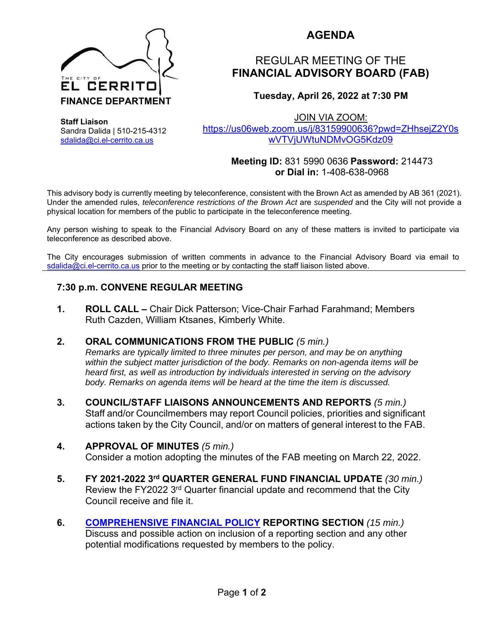

Sandra Dalida | 510-215-4312 sdalida@ci.el-cerrito.ca.us

**Staff Liaison** 

# **AGENDA**

# REGULAR MEETING OF THE **FINANCIAL ADVISORY BOARD (FAB)**

# **Tuesday, April 26, 2022 at 7:30 PM**

JOIN VIA ZOOM:

https://us06web.zoom.us/j/83159900636?pwd=ZHhsejZ2Y0s wVTVjUWtuNDMvOG5Kdz09

#### **Meeting ID:** 831 5990 0636 **Password:** 214473  **or Dial in:** 1-408-638-0968

This advisory body is currently meeting by teleconference, consistent with the Brown Act as amended by AB 361 (2021). Under the amended rules, *teleconference restrictions of the Brown Act* are *suspended* and the City will not provide a physical location for members of the public to participate in the teleconference meeting.

Any person wishing to speak to the Financial Advisory Board on any of these matters is invited to participate via teleconference as described above.

The City encourages submission of written comments in advance to the Financial Advisory Board via email to sdalida@ci.el-cerrito.ca.us prior to the meeting or by contacting the staff liaison listed above.

### **7:30 p.m. CONVENE REGULAR MEETING**

**1. ROLL CALL –** Chair Dick Patterson; Vice-Chair Farhad Farahmand; Members Ruth Cazden, William Ktsanes, Kimberly White.

#### **2. ORAL COMMUNICATIONS FROM THE PUBLIC** *(5 min.)*

*Remarks are typically limited to three minutes per person, and may be on anything within the subject matter jurisdiction of the body. Remarks on non-agenda items will be heard first, as well as introduction by individuals interested in serving on the advisory body. Remarks on agenda items will be heard at the time the item is discussed.* 

**3. COUNCIL/STAFF LIAISONS ANNOUNCEMENTS AND REPORTS** *(5 min.)* Staff and/or Councilmembers may report Council policies, priorities and significant actions taken by the City Council, and/or on matters of general interest to the FAB.

#### **4. APPROVAL OF MINUTES** *(5 min.)*

Consider a motion adopting the minutes of the FAB meeting on March 22, 2022.

- **5. FY 2021-2022 3rd QUARTER GENERAL FUND FINANCIAL UPDATE** *(30 min.)* Review the FY2022 3<sup>rd</sup> Quarter financial update and recommend that the City Council receive and file it.
- **6. COMPREHENSIVE FINANCIAL POLICY REPORTING SECTION** *(15 min.)* Discuss and possible action on inclusion of a reporting section and any other potential modifications requested by members to the policy.